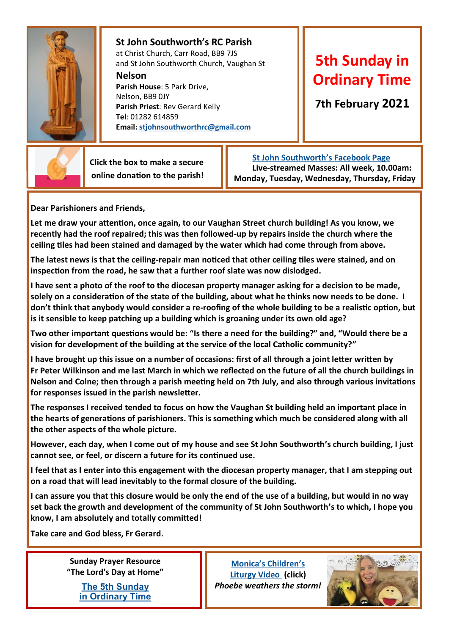

## **St John Southworth's RC Parish** at Christ Church, Carr Road, BB9 7JS

and St John Southworth Church, Vaughan St **Nelson Parish House**: 5 Park Drive, Nelson, BB9 0JY **Parish Priest**: Rev Gerard Kelly

**Tel**: 01282 614859 **Email: [stjohnsouthworthrc@gmail.com](mailto:stjohnsouthworthrc@gmail.com)**

## **5th Sunday in Ordinary Time**

**7th February 2021**



 **Click the box to make a secure online donation to the parish!**

 **[St John Southworth's Facebook Page](https://www.facebook.com/Parish-of-St-John-Southworth-in-Nelson-105718084323986) Live-streamed Masses: All week, 10.00am: Monday, Tuesday, Wednesday, Thursday, Friday**

**Dear Parishioners and Friends,**

**Let me draw your attention, once again, to our Vaughan Street church building! As you know, we recently had the roof repaired; this was then followed-up by repairs inside the church where the ceiling tiles had been stained and damaged by the water which had come through from above.**

**The latest news is that the ceiling-repair man noticed that other ceiling tiles were stained, and on inspection from the road, he saw that a further roof slate was now dislodged.**

**I have sent a photo of the roof to the diocesan property manager asking for a decision to be made, solely on a consideration of the state of the building, about what he thinks now needs to be done. I don't think that anybody would consider a re-roofing of the whole building to be a realistic option, but is it sensible to keep patching up a building which is groaning under its own old age?**

**Two other important questions would be: "Is there a need for the building?" and, "Would there be a vision for development of the building at the service of the local Catholic community?"** 

**I have brought up this issue on a number of occasions: first of all through a joint letter written by Fr Peter Wilkinson and me last March in which we reflected on the future of all the church buildings in Nelson and Colne; then through a parish meeting held on 7th July, and also through various invitations for responses issued in the parish newsletter.**

**The responses I received tended to focus on how the Vaughan St building held an important place in the hearts of generations of parishioners. This is something which much be considered along with all the other aspects of the whole picture.**

**However, each day, when I come out of my house and see St John Southworth's church building, I just cannot see, or feel, or discern a future for its continued use.** 

**I feel that as I enter into this engagement with the diocesan property manager, that I am stepping out on a road that will lead inevitably to the formal closure of the building.**

**I can assure you that this closure would be only the end of the use of a building, but would in no way set back the growth and development of the community of St John Southworth's to which, I hope you know, I am absolutely and totally committed!**

**Take care and God bless, Fr Gerard**.

**Sunday Prayer Resource "The Lord's Day at Home"**

> **[The 5th Sunday](https://mcusercontent.com/76e219dab8653b775ba8aac4c/files/f6c4a260-abb2-43b5-97fc-3fe4f7abd344/LDAH_Ordinary_5B.pdf)  [in Ordinary Time](https://mcusercontent.com/76e219dab8653b775ba8aac4c/files/f6c4a260-abb2-43b5-97fc-3fe4f7abd344/LDAH_Ordinary_5B.pdf)**

**[Monica's Children's](https://youtu.be/hHEWVKhtWvI)  [Liturgy Video \(](https://youtu.be/hHEWVKhtWvI)click)** *Phoebe weathers the storm!*